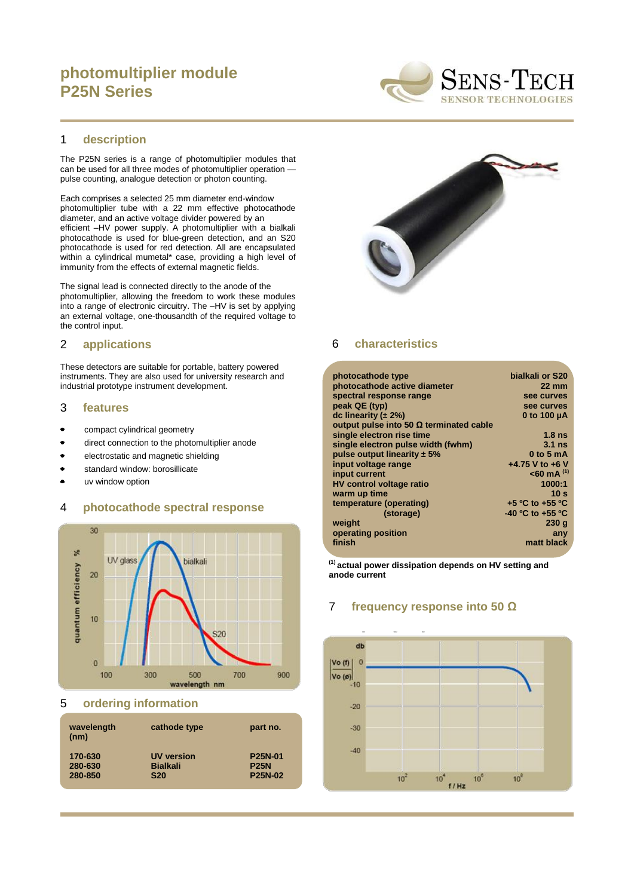# **photomultiplier module P25N Series**



#### 1 **description**

The P25N series is a range of photomultiplier modules that can be used for all three modes of photomultiplier operation pulse counting, analogue detection or photon counting.

Each comprises a selected 25 mm diameter end-window photomultiplier tube with a 22 mm effective photocathode diameter, and an active voltage divider powered by an efficient –HV power supply. A photomultiplier with a bialkali photocathode is used for blue-green detection, and an S20 photocathode is used for red detection. All are encapsulated within a cylindrical mumetal\* case, providing a high level of immunity from the effects of external magnetic fields.

The signal lead is connected directly to the anode of the photomultiplier, allowing the freedom to work these modules into a range of electronic circuitry. The –HV is set by applying an external voltage, one-thousandth of the required voltage to the control input.

## 2 **applications**

These detectors are suitable for portable, battery powered instruments. They are also used for university research and industrial prototype instrument development.

#### 3 **features**

- compact cylindrical geometry  $\bullet$
- direct connection to the photomultiplier anode
- electrostatic and magnetic shielding
- standard window: borosillicate
- uv window option

#### 4 **photocathode spectral response**



## 5 **ordering information**

| wavelength<br>(nm) | cathode type    | part no.             |
|--------------------|-----------------|----------------------|
| 170-630            | UV version      | P <sub>25</sub> N-01 |
| 280-630            | <b>Bialkali</b> | <b>P25N</b>          |
| 280-850            | <b>S20</b>      | <b>P25N-02</b>       |



#### 6 **characteristics**

| photocathode type                              | bialkali or S20                     |
|------------------------------------------------|-------------------------------------|
| photocathode active diameter                   | $22 \text{ mm}$                     |
| spectral response range                        | see curves                          |
| peak QE (typ)                                  | see curves                          |
| dc linearity $(\pm 2\%)$                       | 0 to 100 $\mu$ A                    |
| output pulse into 50 $\Omega$ terminated cable |                                     |
| single electron rise time                      | $1.8$ ns                            |
| single electron pulse width (fwhm)             | $3.1$ ns                            |
| pulse output linearity $\pm$ 5%                | $0$ to 5 mA                         |
| input voltage range                            | +4.75 V to +6 V                     |
| input current                                  | $<$ 60 mA $^{(1)}$                  |
| <b>HV control voltage ratio</b>                | 1000:1                              |
| warm up time                                   | 10 <sub>s</sub>                     |
| temperature (operating)                        | +5 $^{\circ}$ C to +55 $^{\circ}$ C |
| (storage)                                      | $-40$ °C to $+55$ °C                |
| weight                                         | 230q                                |
| operating position                             | any                                 |
| finish                                         | matt black                          |
|                                                |                                     |

**(1) actual power dissipation depends on HV setting and anode current**

## 7 **frequency response into 50 Ω**

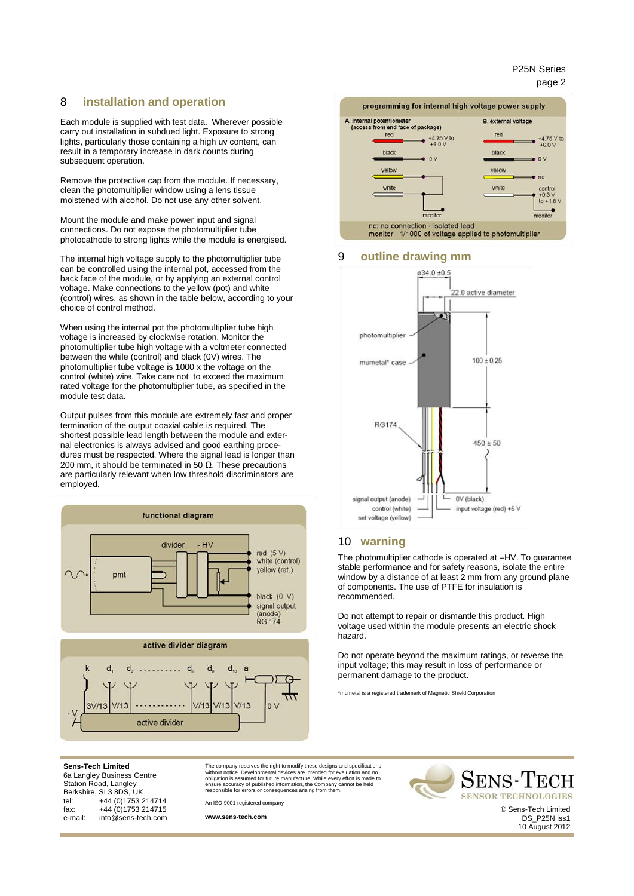#### P25N Series page 2

#### 8 **installation and operation**

Each module is supplied with test data. Wherever possible carry out installation in subdued light. Exposure to strong lights, particularly those containing a high uv content, can result in a temporary increase in dark counts during subsequent operation.

Remove the protective cap from the module. If necessary, clean the photomultiplier window using a lens tissue moistened with alcohol. Do not use any other solvent.

Mount the module and make power input and signal connections. Do not expose the photomultiplier tube photocathode to strong lights while the module is energised.

The internal high voltage supply to the photomultiplier tube can be controlled using the internal pot, accessed from the back face of the module, or by applying an external control voltage. Make connections to the yellow (pot) and white (control) wires, as shown in the table below, according to your choice of control method.

When using the internal pot the photomultiplier tube high voltage is increased by clockwise rotation. Monitor the photomultiplier tube high voltage with a voltmeter connected between the while (control) and black (0V) wires. The photomultiplier tube voltage is 1000 x the voltage on the control (white) wire. Take care not to exceed the maximum rated voltage for the photomultiplier tube, as specified in the module test data.

Output pulses from this module are extremely fast and proper termination of the output coaxial cable is required. The shortest possible lead length between the module and external electronics is always advised and good earthing procedures must be respected. Where the signal lead is longer than 200 mm, it should be terminated in 50 Ω. These precautions are particularly relevant when low threshold discriminators are employed.



active divider diagram





#### 9 **outline drawing mm**



## 10 **warning**

The photomultiplier cathode is operated at –HV. To guarantee stable performance and for safety reasons, isolate the entire window by a distance of at least 2 mm from any ground plane of components. The use of PTFE for insulation is recommended.

Do not attempt to repair or dismantle this product. High voltage used within the module presents an electric shock hazard.

Do not operate beyond the maximum ratings, or reverse the input voltage; this may result in loss of performance or permanent damage to the product.

\*mumetal is a registered trademark of Magnetic Shield Corporation

**Sens-Tech Limited** 6a Langley Business Centre Station Road, Langley Berkshire, SL3 8DS, UK tel: +44 (0) 1753 214714<br>fax: +44 (0) 1753 214715  $\frac{1}{2}$  fax:  $\frac{+44}{0}$  (0) 1753 214715<br>e-mail:  $\frac{1}{2}$  info@sens-tech.com e-mail: info@sens-tech.com

The company reserves the right to modify these designs and specifications<br>without notice. Developmental devices are intended for evaluation and no<br>obligation is assumed for future manufacture. While every effort is made to

An ISO 9001 registered company

**www.sens-tech.com**